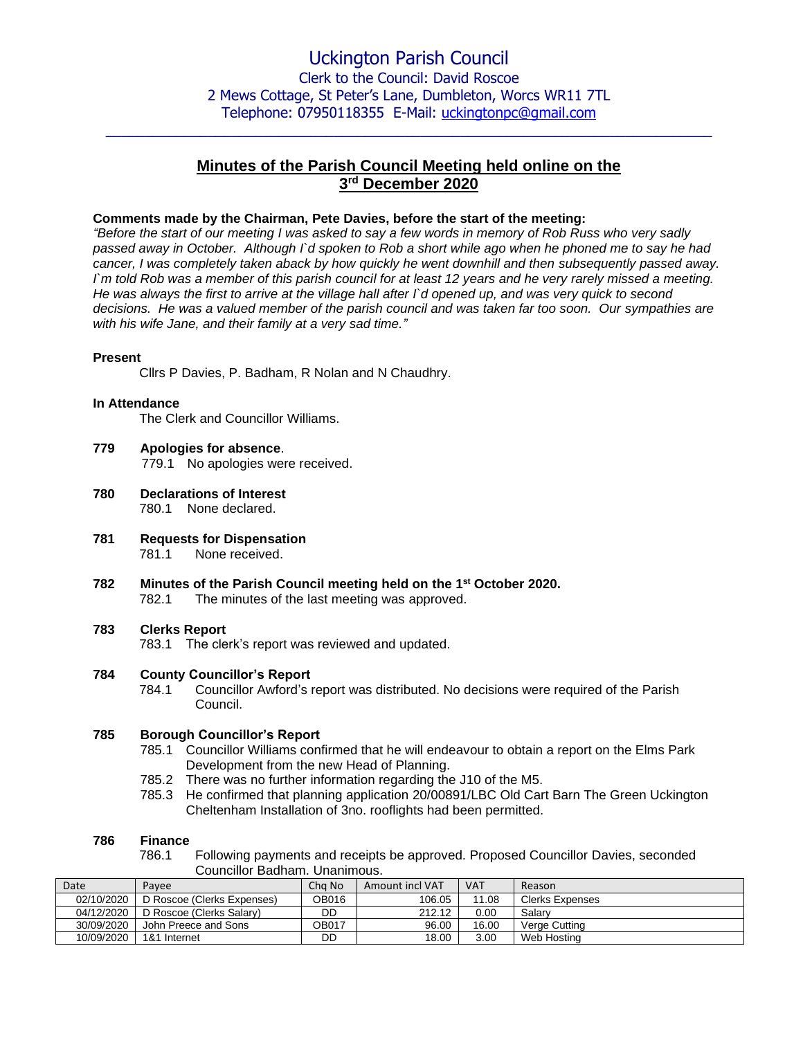$\_$  , and the set of the set of the set of the set of the set of the set of the set of the set of the set of the set of the set of the set of the set of the set of the set of the set of the set of the set of the set of th

# **Minutes of the Parish Council Meeting held online on the 3 rd December 2020**

### **Comments made by the Chairman, Pete Davies, before the start of the meeting:**

*"Before the start of our meeting I was asked to say a few words in memory of Rob Russ who very sadly passed away in October. Although I`d spoken to Rob a short while ago when he phoned me to say he had cancer, I was completely taken aback by how quickly he went downhill and then subsequently passed away. I`m told Rob was a member of this parish council for at least 12 years and he very rarely missed a meeting. He was always the first to arrive at the village hall after I`d opened up, and was very quick to second decisions. He was a valued member of the parish council and was taken far too soon. Our sympathies are with his wife Jane, and their family at a very sad time."*

#### **Present**

Cllrs P Davies, P. Badham, R Nolan and N Chaudhry.

#### **In Attendance**

The Clerk and Councillor Williams.

- **779 Apologies for absence**. 779.1 No apologies were received.
- **780 Declarations of Interest** 780.1 None declared.
- **781 Requests for Dispensation** 781.1 None received.
- **782 Minutes of the Parish Council meeting held on the 1 st October 2020.** 782.1 The minutes of the last meeting was approved.

#### **783 Clerks Report**

783.1 The clerk's report was reviewed and updated.

#### **784 County Councillor's Report**

784.1 Councillor Awford's report was distributed. No decisions were required of the Parish Council.

# **785 Borough Councillor's Report**

- 785.1 Councillor Williams confirmed that he will endeavour to obtain a report on the Elms Park Development from the new Head of Planning.
- 785.2 There was no further information regarding the J10 of the M5.
- 785.3 He confirmed that planning application 20/00891/LBC Old Cart Barn The Green Uckington Cheltenham Installation of 3no. rooflights had been permitted.

#### **786 Finance**

786.1 Following payments and receipts be approved. Proposed Councillor Davies, seconded Councillor Badham. Unanimous.

| Date       | Pavee                      | Cha No | Amount incl VAT | <b>VAT</b> | Reason                 |
|------------|----------------------------|--------|-----------------|------------|------------------------|
| 02/10/2020 | D Roscoe (Clerks Expenses) | OB016  | 106.05          | 11.08      | <b>Clerks Expenses</b> |
| 04/12/2020 | D Roscoe (Clerks Salary)   | DD     | 212.12          | 0.00       | Salarv                 |
| 30/09/2020 | John Preece and Sons       | OB017  | 96.00           | 16.00      | Verge Cutting          |
| 10/09/2020 | 1&1 Internet               | DD     | 18.00           | 3.00       | Web Hosting            |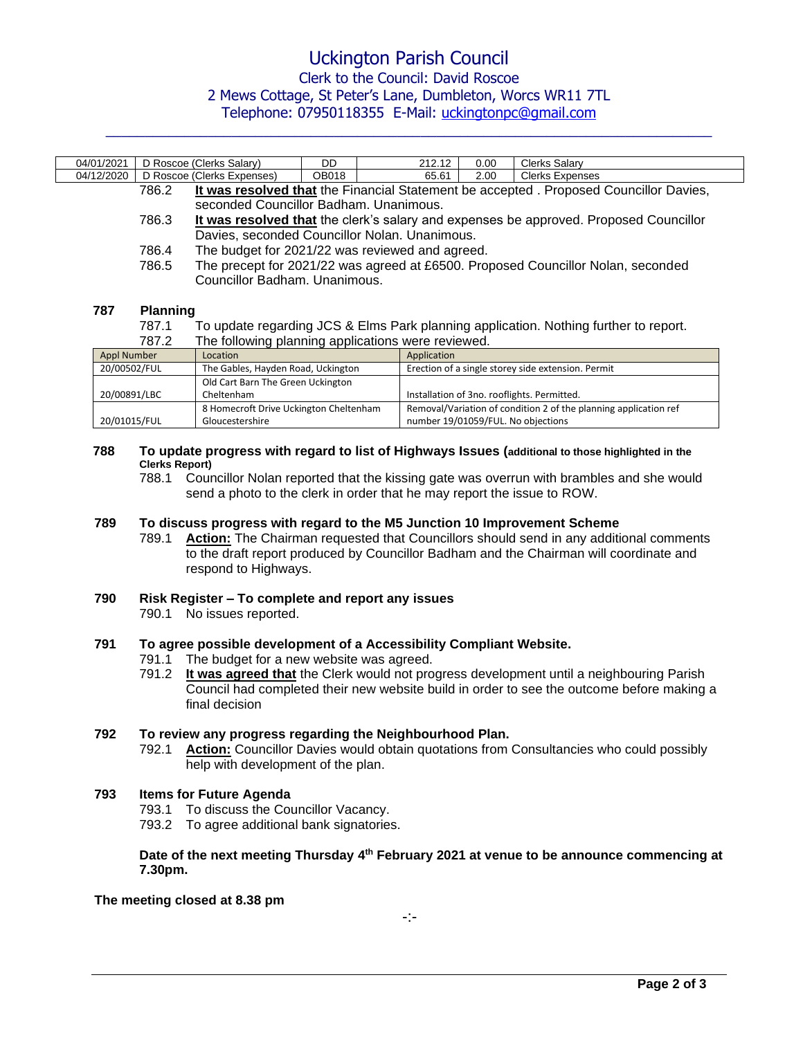# Uckington Parish Council Clerk to the Council: David Roscoe

# 2 Mews Cottage, St Peter's Lane, Dumbleton, Worcs WR11 7TL

Telephone: 07950118355 E-Mail: [uckingtonpc@gmail.com](mailto:uckingtonpc@gmail.com)  $\_$  , and the set of the set of the set of the set of the set of the set of the set of the set of the set of the set of the set of the set of the set of the set of the set of the set of the set of the set of the set of th

| 04/01/2021  |                                                                                                | D Roscoe (Clerks Salary)                                                         | DD.          | 212.12                                                                               | 0.00 | Clerks Salary                                                                          |  |  |
|-------------|------------------------------------------------------------------------------------------------|----------------------------------------------------------------------------------|--------------|--------------------------------------------------------------------------------------|------|----------------------------------------------------------------------------------------|--|--|
| 04/12/2020  |                                                                                                | D Roscoe (Clerks Expenses)                                                       | <b>OB018</b> | 65.61                                                                                | 2.00 | <b>Clerks Expenses</b>                                                                 |  |  |
|             | 786.2                                                                                          |                                                                                  |              |                                                                                      |      | It was resolved that the Financial Statement be accepted . Proposed Councillor Davies, |  |  |
|             |                                                                                                | seconded Councillor Badham, Unanimous.                                           |              |                                                                                      |      |                                                                                        |  |  |
|             | 786.3<br>It was resolved that the clerk's salary and expenses be approved. Proposed Councillor |                                                                                  |              |                                                                                      |      |                                                                                        |  |  |
|             |                                                                                                | Davies, seconded Councillor Nolan. Unanimous.                                    |              |                                                                                      |      |                                                                                        |  |  |
|             | 786.4                                                                                          | The budget for 2021/22 was reviewed and agreed.                                  |              |                                                                                      |      |                                                                                        |  |  |
|             | 786.5                                                                                          | The precept for 2021/22 was agreed at £6500. Proposed Councillor Nolan, seconded |              |                                                                                      |      |                                                                                        |  |  |
|             |                                                                                                | Councillor Badham. Unanimous.                                                    |              |                                                                                      |      |                                                                                        |  |  |
| 787         | <b>Planning</b>                                                                                |                                                                                  |              |                                                                                      |      |                                                                                        |  |  |
| 787.1       |                                                                                                |                                                                                  |              | To update regarding JCS & Elms Park planning application. Nothing further to report. |      |                                                                                        |  |  |
|             | The following planning applications were reviewed.<br>787.2                                    |                                                                                  |              |                                                                                      |      |                                                                                        |  |  |
| Annl Numher |                                                                                                | <b>Location</b>                                                                  |              | <b>Annlication</b>                                                                   |      |                                                                                        |  |  |

| Appl Number  | Location                               | Application                                                      |
|--------------|----------------------------------------|------------------------------------------------------------------|
| 20/00502/FUL | The Gables, Hayden Road, Uckington     | Erection of a single storey side extension. Permit               |
|              | Old Cart Barn The Green Uckington      |                                                                  |
| 20/00891/LBC | Cheltenham                             | Installation of 3no. rooflights. Permitted.                      |
|              | 8 Homecroft Drive Uckington Cheltenham | Removal/Variation of condition 2 of the planning application ref |
| 20/01015/FUL | Gloucestershire                        | number 19/01059/FUL. No objections                               |

#### **788 To update progress with regard to list of Highways Issues (additional to those highlighted in the Clerks Report)**

788.1 Councillor Nolan reported that the kissing gate was overrun with brambles and she would send a photo to the clerk in order that he may report the issue to ROW.

## **789 To discuss progress with regard to the M5 Junction 10 Improvement Scheme**

789.1 **Action:** The Chairman requested that Councillors should send in any additional comments to the draft report produced by Councillor Badham and the Chairman will coordinate and respond to Highways.

# **790 Risk Register – To complete and report any issues**

790.1 No issues reported.

# **791 To agree possible development of a Accessibility Compliant Website.**

- 791.1 The budget for a new website was agreed.
- 791.2 **It was agreed that** the Clerk would not progress development until a neighbouring Parish Council had completed their new website build in order to see the outcome before making a final decision

## **792 To review any progress regarding the Neighbourhood Plan.**

792.1 **Action:** Councillor Davies would obtain quotations from Consultancies who could possibly help with development of the plan.

## **793 Items for Future Agenda**

- 793.1 To discuss the Councillor Vacancy.
- 793.2 To agree additional bank signatories.

### **Date of the next meeting Thursday 4 th February 2021 at venue to be announce commencing at 7.30pm.**

**The meeting closed at 8.38 pm**